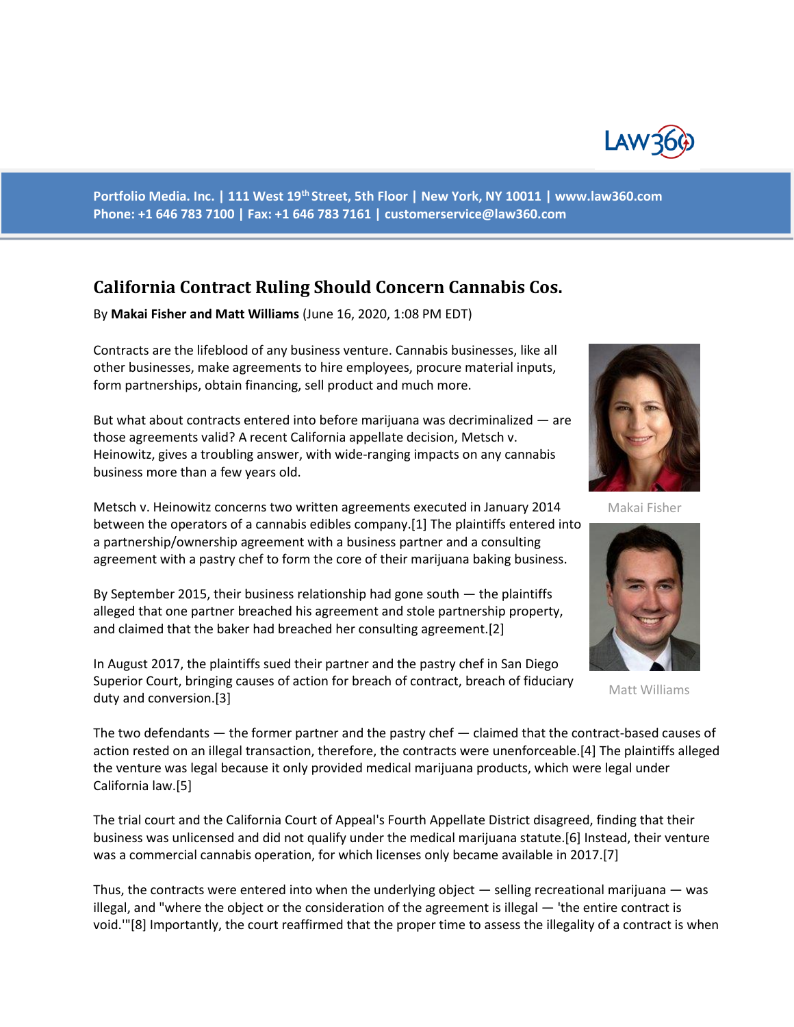

**Portfolio Media. Inc. | 111 West 19th Street, 5th Floor | New York, NY 10011 | www.law360.com Phone: +1 646 783 7100 | Fax: +1 646 783 7161 | customerservice@law360.com**

## **California Contract Ruling Should Concern Cannabis Cos.**

By **Makai Fisher and Matt Williams** (June 16, 2020, 1:08 PM EDT)

Contracts are the lifeblood of any business venture. Cannabis businesses, like all other businesses, make agreements to hire employees, procure material inputs, form partnerships, obtain financing, sell product and much more.

But what about contracts entered into before marijuana was decriminalized — are those agreements valid? A recent California appellate decision, Metsch v. Heinowitz, gives a troubling answer, with wide-ranging impacts on any cannabis business more than a few years old.

Metsch v. Heinowitz concerns two written agreements executed in January 2014 between the operators of a cannabis edibles company.[1] The plaintiffs entered into a partnership/ownership agreement with a business partner and a consulting agreement with a pastry chef to form the core of their marijuana baking business.

By September 2015, their business relationship had gone south — the plaintiffs alleged that one partner breached his agreement and stole partnership property, and claimed that the baker had breached her consulting agreement.[2]

In August 2017, the plaintiffs sued their partner and the pastry chef in San Diego Superior Court, bringing causes of action for breach of contract, breach of fiduciary duty and conversion.[3]



Makai Fisher



Matt Williams

The two defendants — the former partner and the pastry chef — claimed that the contract-based causes of action rested on an illegal transaction, therefore, the contracts were unenforceable.[4] The plaintiffs alleged the venture was legal because it only provided medical marijuana products, which were legal under California law.[5]

The trial court and the California Court of Appeal's Fourth Appellate District disagreed, finding that their business was unlicensed and did not qualify under the medical marijuana statute.[6] Instead, their venture was a commercial cannabis operation, for which licenses only became available in 2017.[7]

Thus, the contracts were entered into when the underlying object — selling recreational marijuana — was illegal, and "where the object or the consideration of the agreement is illegal — 'the entire contract is void.'"[8] Importantly, the court reaffirmed that the proper time to assess the illegality of a contract is when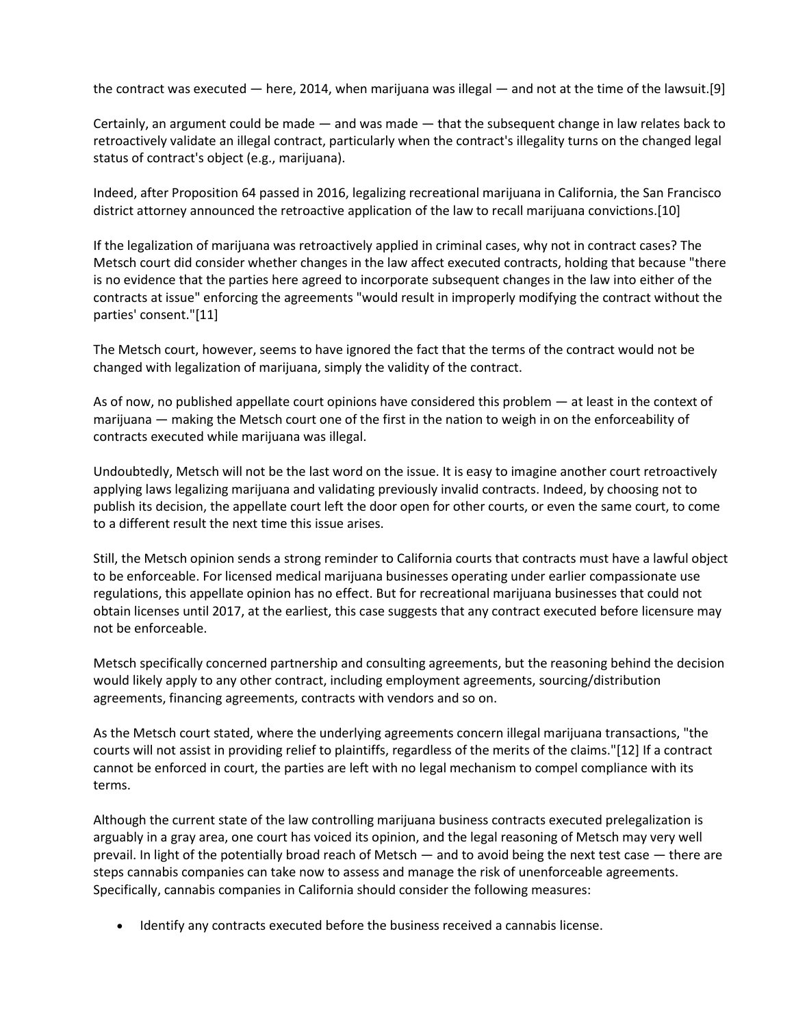the contract was executed — here, 2014, when marijuana was illegal — and not at the time of the lawsuit.[9]

Certainly, an argument could be made — and was made — that the subsequent change in law relates back to retroactively validate an illegal contract, particularly when the contract's illegality turns on the changed legal status of contract's object (e.g., marijuana).

Indeed, after Proposition 64 passed in 2016, legalizing recreational marijuana in California, the San Francisco district attorney announced the retroactive application of the law to recall marijuana convictions.[10]

If the legalization of marijuana was retroactively applied in criminal cases, why not in contract cases? The Metsch court did consider whether changes in the law affect executed contracts, holding that because "there is no evidence that the parties here agreed to incorporate subsequent changes in the law into either of the contracts at issue" enforcing the agreements "would result in improperly modifying the contract without the parties' consent."[11]

The Metsch court, however, seems to have ignored the fact that the terms of the contract would not be changed with legalization of marijuana, simply the validity of the contract.

As of now, no published appellate court opinions have considered this problem — at least in the context of marijuana — making the Metsch court one of the first in the nation to weigh in on the enforceability of contracts executed while marijuana was illegal.

Undoubtedly, Metsch will not be the last word on the issue. It is easy to imagine another court retroactively applying laws legalizing marijuana and validating previously invalid contracts. Indeed, by choosing not to publish its decision, the appellate court left the door open for other courts, or even the same court, to come to a different result the next time this issue arises.

Still, the Metsch opinion sends a strong reminder to California courts that contracts must have a lawful object to be enforceable. For licensed medical marijuana businesses operating under earlier compassionate use regulations, this appellate opinion has no effect. But for recreational marijuana businesses that could not obtain licenses until 2017, at the earliest, this case suggests that any contract executed before licensure may not be enforceable.

Metsch specifically concerned partnership and consulting agreements, but the reasoning behind the decision would likely apply to any other contract, including employment agreements, sourcing/distribution agreements, financing agreements, contracts with vendors and so on.

As the Metsch court stated, where the underlying agreements concern illegal marijuana transactions, "the courts will not assist in providing relief to plaintiffs, regardless of the merits of the claims."[12] If a contract cannot be enforced in court, the parties are left with no legal mechanism to compel compliance with its terms.

Although the current state of the law controlling marijuana business contracts executed prelegalization is arguably in a gray area, one court has voiced its opinion, and the legal reasoning of Metsch may very well prevail. In light of the potentially broad reach of Metsch — and to avoid being the next test case — there are steps cannabis companies can take now to assess and manage the risk of unenforceable agreements. Specifically, cannabis companies in California should consider the following measures:

• Identify any contracts executed before the business received a cannabis license.